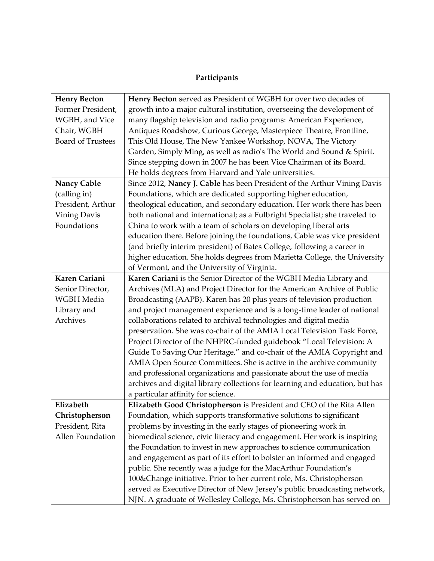## **Participants**

| <b>Henry Becton</b>                                  | Henry Becton served as President of WGBH for over two decades of             |
|------------------------------------------------------|------------------------------------------------------------------------------|
| Former President,                                    | growth into a major cultural institution, overseeing the development of      |
| WGBH, and Vice                                       | many flagship television and radio programs: American Experience,            |
| Chair, WGBH                                          | Antiques Roadshow, Curious George, Masterpiece Theatre, Frontline,           |
| <b>Board of Trustees</b>                             | This Old House, The New Yankee Workshop, NOVA, The Victory                   |
|                                                      | Garden, Simply Ming, as well as radio's The World and Sound & Spirit.        |
|                                                      | Since stepping down in 2007 he has been Vice Chairman of its Board.          |
| He holds degrees from Harvard and Yale universities. |                                                                              |
| Nancy Cable                                          | Since 2012, Nancy J. Cable has been President of the Arthur Vining Davis     |
| (calling in)                                         | Foundations, which are dedicated supporting higher education,                |
| President, Arthur                                    | theological education, and secondary education. Her work there has been      |
| <b>Vining Davis</b>                                  | both national and international; as a Fulbright Specialist; she traveled to  |
| Foundations                                          | China to work with a team of scholars on developing liberal arts             |
|                                                      | education there. Before joining the foundations, Cable was vice president    |
|                                                      | (and briefly interim president) of Bates College, following a career in      |
|                                                      | higher education. She holds degrees from Marietta College, the University    |
| of Vermont, and the University of Virginia.          |                                                                              |
| Karen Cariani                                        | Karen Cariani is the Senior Director of the WGBH Media Library and           |
| Senior Director,                                     | Archives (MLA) and Project Director for the American Archive of Public       |
| WGBH Media                                           | Broadcasting (AAPB). Karen has 20 plus years of television production        |
| Library and                                          | and project management experience and is a long-time leader of national      |
| Archives                                             | collaborations related to archival technologies and digital media            |
|                                                      | preservation. She was co-chair of the AMIA Local Television Task Force,      |
|                                                      | Project Director of the NHPRC-funded guidebook "Local Television: A          |
|                                                      | Guide To Saving Our Heritage," and co-chair of the AMIA Copyright and        |
|                                                      | AMIA Open Source Committees. She is active in the archive community          |
|                                                      | and professional organizations and passionate about the use of media         |
|                                                      | archives and digital library collections for learning and education, but has |
| a particular affinity for science.                   |                                                                              |
| Elizabeth                                            | Elizabeth Good Christopherson is President and CEO of the Rita Allen         |
| Christopherson                                       | Foundation, which supports transformative solutions to significant           |
| President, Rita                                      | problems by investing in the early stages of pioneering work in              |
| Allen Foundation                                     | biomedical science, civic literacy and engagement. Her work is inspiring     |
|                                                      | the Foundation to invest in new approaches to science communication          |
|                                                      | and engagement as part of its effort to bolster an informed and engaged      |
|                                                      | public. She recently was a judge for the MacArthur Foundation's              |
|                                                      | 100&Change initiative. Prior to her current role, Ms. Christopherson         |
|                                                      | served as Executive Director of New Jersey's public broadcasting network,    |
|                                                      | NJN. A graduate of Wellesley College, Ms. Christopherson has served on       |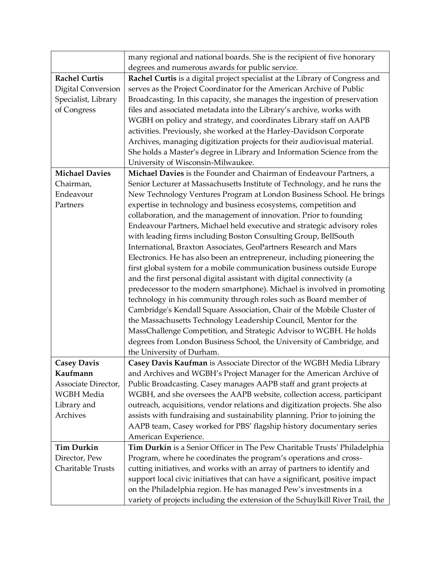|                           | many regional and national boards. She is the recipient of five honorary       |
|---------------------------|--------------------------------------------------------------------------------|
|                           | degrees and numerous awards for public service.                                |
| <b>Rachel Curtis</b>      | Rachel Curtis is a digital project specialist at the Library of Congress and   |
| <b>Digital Conversion</b> | serves as the Project Coordinator for the American Archive of Public           |
| Specialist, Library       | Broadcasting. In this capacity, she manages the ingestion of preservation      |
| of Congress               | files and associated metadata into the Library's archive, works with           |
|                           | WGBH on policy and strategy, and coordinates Library staff on AAPB             |
|                           | activities. Previously, she worked at the Harley-Davidson Corporate            |
|                           | Archives, managing digitization projects for their audiovisual material.       |
|                           | She holds a Master's degree in Library and Information Science from the        |
|                           | University of Wisconsin-Milwaukee.                                             |
| <b>Michael Davies</b>     | Michael Davies is the Founder and Chairman of Endeavour Partners, a            |
| Chairman,                 | Senior Lecturer at Massachusetts Institute of Technology, and he runs the      |
| Endeavour                 | New Technology Ventures Program at London Business School. He brings           |
| Partners                  | expertise in technology and business ecosystems, competition and               |
|                           | collaboration, and the management of innovation. Prior to founding             |
|                           | Endeavour Partners, Michael held executive and strategic advisory roles        |
|                           | with leading firms including Boston Consulting Group, BellSouth                |
|                           | International, Braxton Associates, GeoPartners Research and Mars               |
|                           | Electronics. He has also been an entrepreneur, including pioneering the        |
|                           | first global system for a mobile communication business outside Europe         |
|                           | and the first personal digital assistant with digital connectivity (a          |
|                           | predecessor to the modern smartphone). Michael is involved in promoting        |
|                           | technology in his community through roles such as Board member of              |
|                           | Cambridge's Kendall Square Association, Chair of the Mobile Cluster of         |
|                           | the Massachusetts Technology Leadership Council, Mentor for the                |
|                           | MassChallenge Competition, and Strategic Advisor to WGBH. He holds             |
|                           | degrees from London Business School, the University of Cambridge, and          |
|                           | the University of Durham.                                                      |
| <b>Casey Davis</b>        | Casey Davis Kaufman is Associate Director of the WGBH Media Library            |
| Kaufmann                  | and Archives and WGBH's Project Manager for the American Archive of            |
| Associate Director,       | Public Broadcasting. Casey manages AAPB staff and grant projects at            |
| WGBH Media                | WGBH, and she oversees the AAPB website, collection access, participant        |
| Library and               | outreach, acquisitions, vendor relations and digitization projects. She also   |
| Archives                  | assists with fundraising and sustainability planning. Prior to joining the     |
|                           | AAPB team, Casey worked for PBS' flagship history documentary series           |
|                           | American Experience.                                                           |
| <b>Tim Durkin</b>         | Tim Durkin is a Senior Officer in The Pew Charitable Trusts' Philadelphia      |
| Director, Pew             | Program, where he coordinates the program's operations and cross-              |
| Charitable Trusts         | cutting initiatives, and works with an array of partners to identify and       |
|                           | support local civic initiatives that can have a significant, positive impact   |
|                           | on the Philadelphia region. He has managed Pew's investments in a              |
|                           | variety of projects including the extension of the Schuylkill River Trail, the |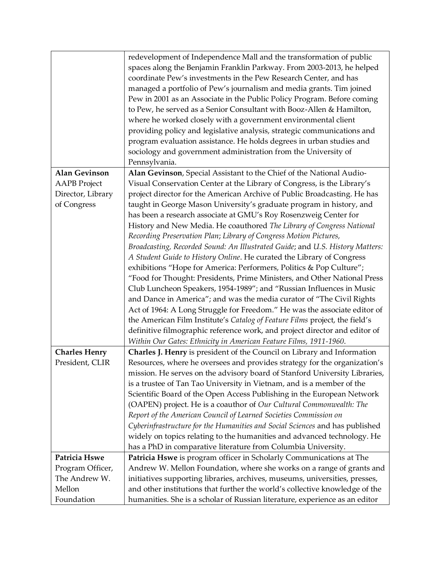|                      | redevelopment of Independence Mall and the transformation of public<br>spaces along the Benjamin Franklin Parkway. From 2003-2013, he helped<br>coordinate Pew's investments in the Pew Research Center, and has<br>managed a portfolio of Pew's journalism and media grants. Tim joined<br>Pew in 2001 as an Associate in the Public Policy Program. Before coming<br>to Pew, he served as a Senior Consultant with Booz-Allen & Hamilton,<br>where he worked closely with a government environmental client<br>providing policy and legislative analysis, strategic communications and<br>program evaluation assistance. He holds degrees in urban studies and<br>sociology and government administration from the University of<br>Pennsylvania. |
|----------------------|-----------------------------------------------------------------------------------------------------------------------------------------------------------------------------------------------------------------------------------------------------------------------------------------------------------------------------------------------------------------------------------------------------------------------------------------------------------------------------------------------------------------------------------------------------------------------------------------------------------------------------------------------------------------------------------------------------------------------------------------------------|
| <b>Alan Gevinson</b> | Alan Gevinson, Special Assistant to the Chief of the National Audio-                                                                                                                                                                                                                                                                                                                                                                                                                                                                                                                                                                                                                                                                                |
| <b>AAPB</b> Project  | Visual Conservation Center at the Library of Congress, is the Library's                                                                                                                                                                                                                                                                                                                                                                                                                                                                                                                                                                                                                                                                             |
| Director, Library    | project director for the American Archive of Public Broadcasting. He has                                                                                                                                                                                                                                                                                                                                                                                                                                                                                                                                                                                                                                                                            |
| of Congress          | taught in George Mason University's graduate program in history, and<br>has been a research associate at GMU's Roy Rosenzweig Center for                                                                                                                                                                                                                                                                                                                                                                                                                                                                                                                                                                                                            |
|                      | History and New Media. He coauthored The Library of Congress National                                                                                                                                                                                                                                                                                                                                                                                                                                                                                                                                                                                                                                                                               |
|                      | Recording Preservation Plan; Library of Congress Motion Pictures,                                                                                                                                                                                                                                                                                                                                                                                                                                                                                                                                                                                                                                                                                   |
|                      | Broadcasting, Recorded Sound: An Illustrated Guide; and U.S. History Matters:                                                                                                                                                                                                                                                                                                                                                                                                                                                                                                                                                                                                                                                                       |
|                      | A Student Guide to History Online. He curated the Library of Congress                                                                                                                                                                                                                                                                                                                                                                                                                                                                                                                                                                                                                                                                               |
|                      | exhibitions "Hope for America: Performers, Politics & Pop Culture";                                                                                                                                                                                                                                                                                                                                                                                                                                                                                                                                                                                                                                                                                 |
|                      | "Food for Thought: Presidents, Prime Ministers, and Other National Press                                                                                                                                                                                                                                                                                                                                                                                                                                                                                                                                                                                                                                                                            |
|                      | Club Luncheon Speakers, 1954-1989"; and "Russian Influences in Music                                                                                                                                                                                                                                                                                                                                                                                                                                                                                                                                                                                                                                                                                |
|                      | and Dance in America"; and was the media curator of "The Civil Rights                                                                                                                                                                                                                                                                                                                                                                                                                                                                                                                                                                                                                                                                               |
|                      | Act of 1964: A Long Struggle for Freedom." He was the associate editor of                                                                                                                                                                                                                                                                                                                                                                                                                                                                                                                                                                                                                                                                           |
|                      | the American Film Institute's Catalog of Feature Films project, the field's                                                                                                                                                                                                                                                                                                                                                                                                                                                                                                                                                                                                                                                                         |
|                      | definitive filmographic reference work, and project director and editor of                                                                                                                                                                                                                                                                                                                                                                                                                                                                                                                                                                                                                                                                          |
|                      | Within Our Gates: Ethnicity in American Feature Films, 1911-1960.                                                                                                                                                                                                                                                                                                                                                                                                                                                                                                                                                                                                                                                                                   |
| <b>Charles Henry</b> | Charles J. Henry is president of the Council on Library and Information                                                                                                                                                                                                                                                                                                                                                                                                                                                                                                                                                                                                                                                                             |
| President, CLIR      | Resources, where he oversees and provides strategy for the organization's                                                                                                                                                                                                                                                                                                                                                                                                                                                                                                                                                                                                                                                                           |
|                      | mission. He serves on the advisory board of Stanford University Libraries,                                                                                                                                                                                                                                                                                                                                                                                                                                                                                                                                                                                                                                                                          |
|                      | is a trustee of Tan Tao University in Vietnam, and is a member of the<br>Scientific Board of the Open Access Publishing in the European Network                                                                                                                                                                                                                                                                                                                                                                                                                                                                                                                                                                                                     |
|                      | (OAPEN) project. He is a coauthor of Our Cultural Commonwealth: The                                                                                                                                                                                                                                                                                                                                                                                                                                                                                                                                                                                                                                                                                 |
|                      | Report of the American Council of Learned Societies Commission on                                                                                                                                                                                                                                                                                                                                                                                                                                                                                                                                                                                                                                                                                   |
|                      | Cyberinfrastructure for the Humanities and Social Sciences and has published                                                                                                                                                                                                                                                                                                                                                                                                                                                                                                                                                                                                                                                                        |
|                      | widely on topics relating to the humanities and advanced technology. He                                                                                                                                                                                                                                                                                                                                                                                                                                                                                                                                                                                                                                                                             |
|                      | has a PhD in comparative literature from Columbia University.                                                                                                                                                                                                                                                                                                                                                                                                                                                                                                                                                                                                                                                                                       |
| Patricia Hswe        | Patricia Hswe is program officer in Scholarly Communications at The                                                                                                                                                                                                                                                                                                                                                                                                                                                                                                                                                                                                                                                                                 |
| Program Officer,     | Andrew W. Mellon Foundation, where she works on a range of grants and                                                                                                                                                                                                                                                                                                                                                                                                                                                                                                                                                                                                                                                                               |
| The Andrew W.        | initiatives supporting libraries, archives, museums, universities, presses,                                                                                                                                                                                                                                                                                                                                                                                                                                                                                                                                                                                                                                                                         |
| Mellon               | and other institutions that further the world's collective knowledge of the                                                                                                                                                                                                                                                                                                                                                                                                                                                                                                                                                                                                                                                                         |
| Foundation           | humanities. She is a scholar of Russian literature, experience as an editor                                                                                                                                                                                                                                                                                                                                                                                                                                                                                                                                                                                                                                                                         |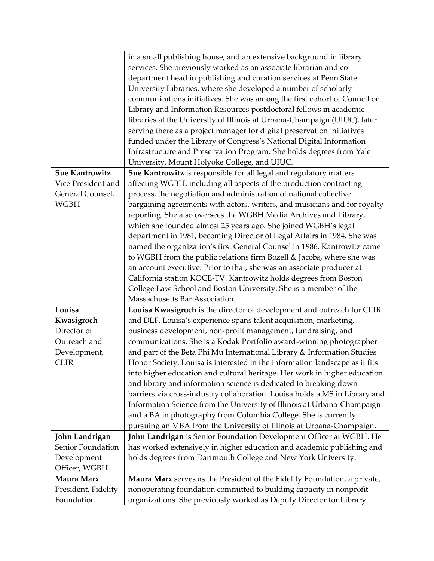|                       | in a small publishing house, and an extensive background in library         |
|-----------------------|-----------------------------------------------------------------------------|
|                       | services. She previously worked as an associate librarian and co-           |
|                       | department head in publishing and curation services at Penn State           |
|                       | University Libraries, where she developed a number of scholarly             |
|                       | communications initiatives. She was among the first cohort of Council on    |
|                       | Library and Information Resources postdoctoral fellows in academic          |
|                       | libraries at the University of Illinois at Urbana-Champaign (UIUC), later   |
|                       | serving there as a project manager for digital preservation initiatives     |
|                       | funded under the Library of Congress's National Digital Information         |
|                       | Infrastructure and Preservation Program. She holds degrees from Yale        |
|                       | University, Mount Holyoke College, and UIUC.                                |
| <b>Sue Kantrowitz</b> | Sue Kantrowitz is responsible for all legal and regulatory matters          |
| Vice President and    | affecting WGBH, including all aspects of the production contracting         |
| General Counsel,      | process, the negotiation and administration of national collective          |
| <b>WGBH</b>           | bargaining agreements with actors, writers, and musicians and for royalty   |
|                       | reporting. She also oversees the WGBH Media Archives and Library,           |
|                       | which she founded almost 25 years ago. She joined WGBH's legal              |
|                       | department in 1981, becoming Director of Legal Affairs in 1984. She was     |
|                       | named the organization's first General Counsel in 1986. Kantrowitz came     |
|                       | to WGBH from the public relations firm Bozell & Jacobs, where she was       |
|                       | an account executive. Prior to that, she was an associate producer at       |
|                       | California station KOCE-TV. Kantrowitz holds degrees from Boston            |
|                       | College Law School and Boston University. She is a member of the            |
|                       | Massachusetts Bar Association.                                              |
| Louisa                | Louisa Kwasigroch is the director of development and outreach for CLIR      |
| Kwasigroch            | and DLF. Louisa's experience spans talent acquisition, marketing,           |
| Director of           | business development, non-profit management, fundraising, and               |
| Outreach and          | communications. She is a Kodak Portfolio award-winning photographer         |
| Development,          | and part of the Beta Phi Mu International Library & Information Studies     |
| <b>CLIR</b>           | Honor Society. Louisa is interested in the information landscape as it fits |
|                       | into higher education and cultural heritage. Her work in higher education   |
|                       | and library and information science is dedicated to breaking down           |
|                       | barriers via cross-industry collaboration. Louisa holds a MS in Library and |
|                       | Information Science from the University of Illinois at Urbana-Champaign     |
|                       | and a BA in photography from Columbia College. She is currently             |
|                       | pursuing an MBA from the University of Illinois at Urbana-Champaign.        |
| John Landrigan        | John Landrigan is Senior Foundation Development Officer at WGBH. He         |
| Senior Foundation     | has worked extensively in higher education and academic publishing and      |
| Development           | holds degrees from Dartmouth College and New York University.               |
| Officer, WGBH         |                                                                             |
| Maura Marx            | Maura Marx serves as the President of the Fidelity Foundation, a private,   |
| President, Fidelity   | nonoperating foundation committed to building capacity in nonprofit         |
| Foundation            | organizations. She previously worked as Deputy Director for Library         |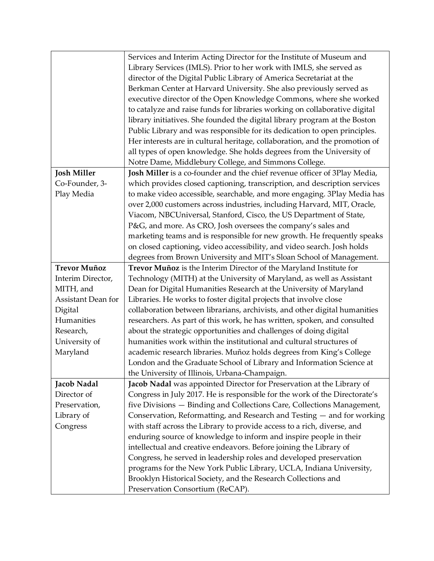|                     | Services and Interim Acting Director for the Institute of Museum and        |
|---------------------|-----------------------------------------------------------------------------|
|                     | Library Services (IMLS). Prior to her work with IMLS, she served as         |
|                     | director of the Digital Public Library of America Secretariat at the        |
|                     | Berkman Center at Harvard University. She also previously served as         |
|                     | executive director of the Open Knowledge Commons, where she worked          |
|                     | to catalyze and raise funds for libraries working on collaborative digital  |
|                     | library initiatives. She founded the digital library program at the Boston  |
|                     | Public Library and was responsible for its dedication to open principles.   |
|                     | Her interests are in cultural heritage, collaboration, and the promotion of |
|                     | all types of open knowledge. She holds degrees from the University of       |
|                     | Notre Dame, Middlebury College, and Simmons College.                        |
| <b>Josh Miller</b>  | Josh Miller is a co-founder and the chief revenue officer of 3Play Media,   |
| Co-Founder, 3-      | which provides closed captioning, transcription, and description services   |
| Play Media          | to make video accessible, searchable, and more engaging. 3Play Media has    |
|                     | over 2,000 customers across industries, including Harvard, MIT, Oracle,     |
|                     | Viacom, NBCUniversal, Stanford, Cisco, the US Department of State,          |
|                     | P&G, and more. As CRO, Josh oversees the company's sales and                |
|                     | marketing teams and is responsible for new growth. He frequently speaks     |
|                     | on closed captioning, video accessibility, and video search. Josh holds     |
|                     | degrees from Brown University and MIT's Sloan School of Management.         |
| <b>Trevor Muñoz</b> | Trevor Muñoz is the Interim Director of the Maryland Institute for          |
| Interim Director,   | Technology (MITH) at the University of Maryland, as well as Assistant       |
| MITH, and           | Dean for Digital Humanities Research at the University of Maryland          |
| Assistant Dean for  | Libraries. He works to foster digital projects that involve close           |
| Digital             | collaboration between librarians, archivists, and other digital humanities  |
| Humanities          | researchers. As part of this work, he has written, spoken, and consulted    |
| Research,           | about the strategic opportunities and challenges of doing digital           |
| University of       | humanities work within the institutional and cultural structures of         |
| Maryland            | academic research libraries. Muñoz holds degrees from King's College        |
|                     | London and the Graduate School of Library and Information Science at        |
|                     | the University of Illinois, Urbana-Champaign.                               |
| Jacob Nadal         | Jacob Nadal was appointed Director for Preservation at the Library of       |
| Director of         | Congress in July 2017. He is responsible for the work of the Directorate's  |
| Preservation,       | five Divisions - Binding and Collections Care, Collections Management,      |
| Library of          | Conservation, Reformatting, and Research and Testing — and for working      |
| Congress            | with staff across the Library to provide access to a rich, diverse, and     |
|                     | enduring source of knowledge to inform and inspire people in their          |
|                     | intellectual and creative endeavors. Before joining the Library of          |
|                     | Congress, he served in leadership roles and developed preservation          |
|                     | programs for the New York Public Library, UCLA, Indiana University,         |
|                     | Brooklyn Historical Society, and the Research Collections and               |
|                     | Preservation Consortium (ReCAP).                                            |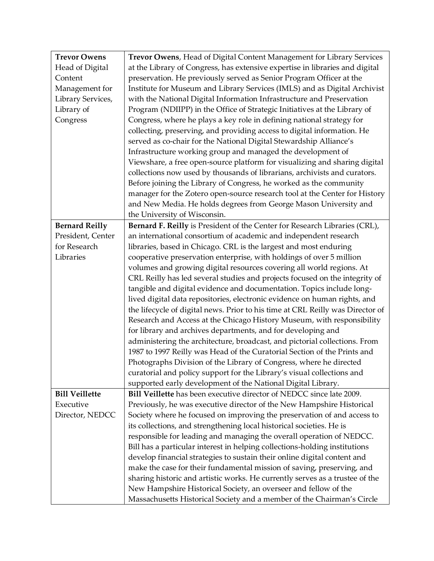| <b>Trevor Owens</b>   | Trevor Owens, Head of Digital Content Management for Library Services          |
|-----------------------|--------------------------------------------------------------------------------|
| Head of Digital       | at the Library of Congress, has extensive expertise in libraries and digital   |
| Content               | preservation. He previously served as Senior Program Officer at the            |
| Management for        | Institute for Museum and Library Services (IMLS) and as Digital Archivist      |
| Library Services,     | with the National Digital Information Infrastructure and Preservation          |
| Library of            | Program (NDIIPP) in the Office of Strategic Initiatives at the Library of      |
| Congress              | Congress, where he plays a key role in defining national strategy for          |
|                       | collecting, preserving, and providing access to digital information. He        |
|                       | served as co-chair for the National Digital Stewardship Alliance's             |
|                       | Infrastructure working group and managed the development of                    |
|                       | Viewshare, a free open-source platform for visualizing and sharing digital     |
|                       | collections now used by thousands of librarians, archivists and curators.      |
|                       | Before joining the Library of Congress, he worked as the community             |
|                       | manager for the Zotero open-source research tool at the Center for History     |
|                       | and New Media. He holds degrees from George Mason University and               |
|                       | the University of Wisconsin.                                                   |
| <b>Bernard Reilly</b> | Bernard F. Reilly is President of the Center for Research Libraries (CRL),     |
| President, Center     | an international consortium of academic and independent research               |
| for Research          | libraries, based in Chicago. CRL is the largest and most enduring              |
| Libraries             | cooperative preservation enterprise, with holdings of over 5 million           |
|                       | volumes and growing digital resources covering all world regions. At           |
|                       | CRL Reilly has led several studies and projects focused on the integrity of    |
|                       | tangible and digital evidence and documentation. Topics include long-          |
|                       | lived digital data repositories, electronic evidence on human rights, and      |
|                       | the lifecycle of digital news. Prior to his time at CRL Reilly was Director of |
|                       | Research and Access at the Chicago History Museum, with responsibility         |
|                       | for library and archives departments, and for developing and                   |
|                       | administering the architecture, broadcast, and pictorial collections. From     |
|                       | 1987 to 1997 Reilly was Head of the Curatorial Section of the Prints and       |
|                       | Photographs Division of the Library of Congress, where he directed             |
|                       | curatorial and policy support for the Library's visual collections and         |
|                       | supported early development of the National Digital Library.                   |
| <b>Bill Veillette</b> | Bill Veillette has been executive director of NEDCC since late 2009.           |
| Executive             | Previously, he was executive director of the New Hampshire Historical          |
| Director, NEDCC       | Society where he focused on improving the preservation of and access to        |
|                       | its collections, and strengthening local historical societies. He is           |
|                       | responsible for leading and managing the overall operation of NEDCC.           |
|                       | Bill has a particular interest in helping collections-holding institutions     |
|                       | develop financial strategies to sustain their online digital content and       |
|                       | make the case for their fundamental mission of saving, preserving, and         |
|                       | sharing historic and artistic works. He currently serves as a trustee of the   |
|                       | New Hampshire Historical Society, an overseer and fellow of the                |
|                       | Massachusetts Historical Society and a member of the Chairman's Circle         |